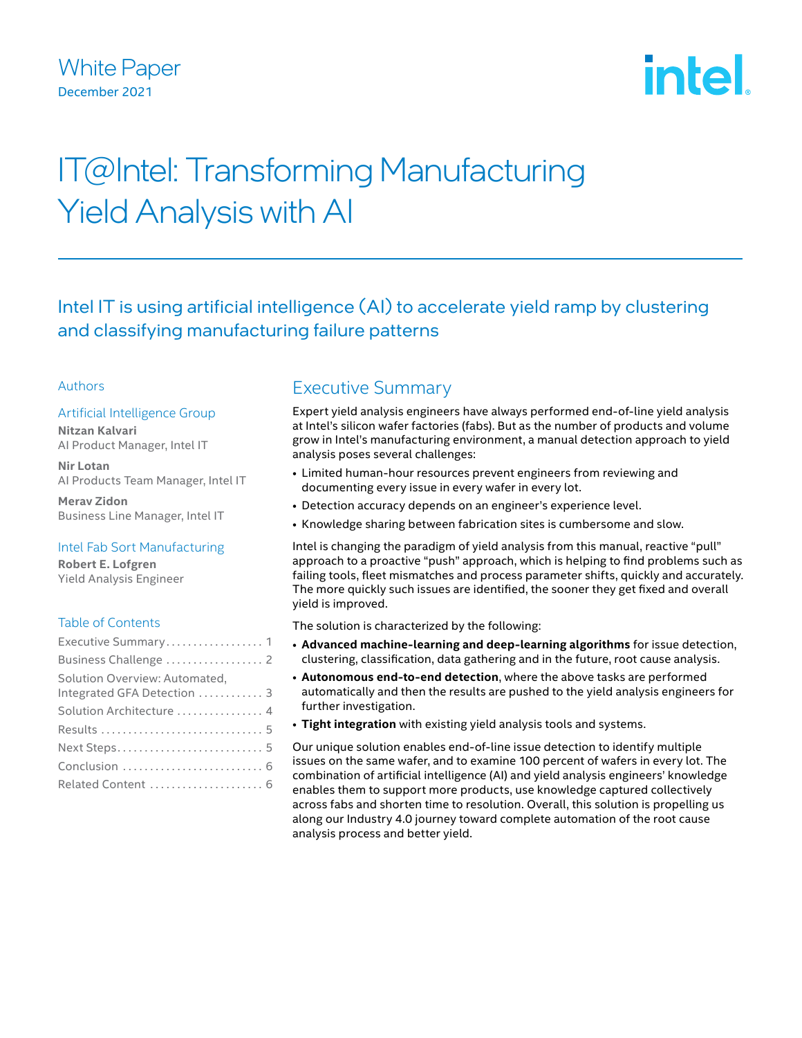

# IT@Intel: Transforming Manufacturing Yield Analysis with AI

Intel IT is using artificial intelligence (AI) to accelerate yield ramp by clustering and classifying manufacturing failure patterns

## Authors

## Artificial Intelligence Group

**Nitzan Kalvari** AI Product Manager, Intel IT

**Nir Lotan** AI Products Team Manager, Intel IT

**Merav Zidon** Business Line Manager, Intel IT

### Intel Fab Sort Manufacturing

**Robert E. Lofgren** Yield Analysis Engineer

### Table of Contents

| Executive Summary 1           |  |
|-------------------------------|--|
|                               |  |
| Solution Overview: Automated, |  |
| Integrated GFA Detection  3   |  |
| Solution Architecture  4      |  |
|                               |  |
|                               |  |
|                               |  |
| Related Content  6            |  |

# Executive Summary

Expert yield analysis engineers have always performed end-of-line yield analysis at Intel's silicon wafer factories (fabs). But as the number of products and volume grow in Intel's manufacturing environment, a manual detection approach to yield analysis poses several challenges:

- Limited human-hour resources prevent engineers from reviewing and documenting every issue in every wafer in every lot.
- Detection accuracy depends on an engineer's experience level.
- Knowledge sharing between fabrication sites is cumbersome and slow.

Intel is changing the paradigm of yield analysis from this manual, reactive "pull" approach to a proactive "push" approach, which is helping to find problems such as failing tools, fleet mismatches and process parameter shifts, quickly and accurately. The more quickly such issues are identified, the sooner they get fixed and overall yield is improved.

The solution is characterized by the following:

- **Advanced machine-learning and deep-learning algorithms** for issue detection, clustering, classification, data gathering and in the future, root cause analysis.
- **Autonomous end-to-end detection**, where the above tasks are performed automatically and then the results are pushed to the yield analysis engineers for further investigation.
- **Tight integration** with existing yield analysis tools and systems.

Our unique solution enables end-of-line issue detection to identify multiple issues on the same wafer, and to examine 100 percent of wafers in every lot. The combination of artificial intelligence (AI) and yield analysis engineers' knowledge enables them to support more products, use knowledge captured collectively across fabs and shorten time to resolution. Overall, this solution is propelling us along our Industry 4.0 journey toward complete automation of the root cause analysis process and better yield.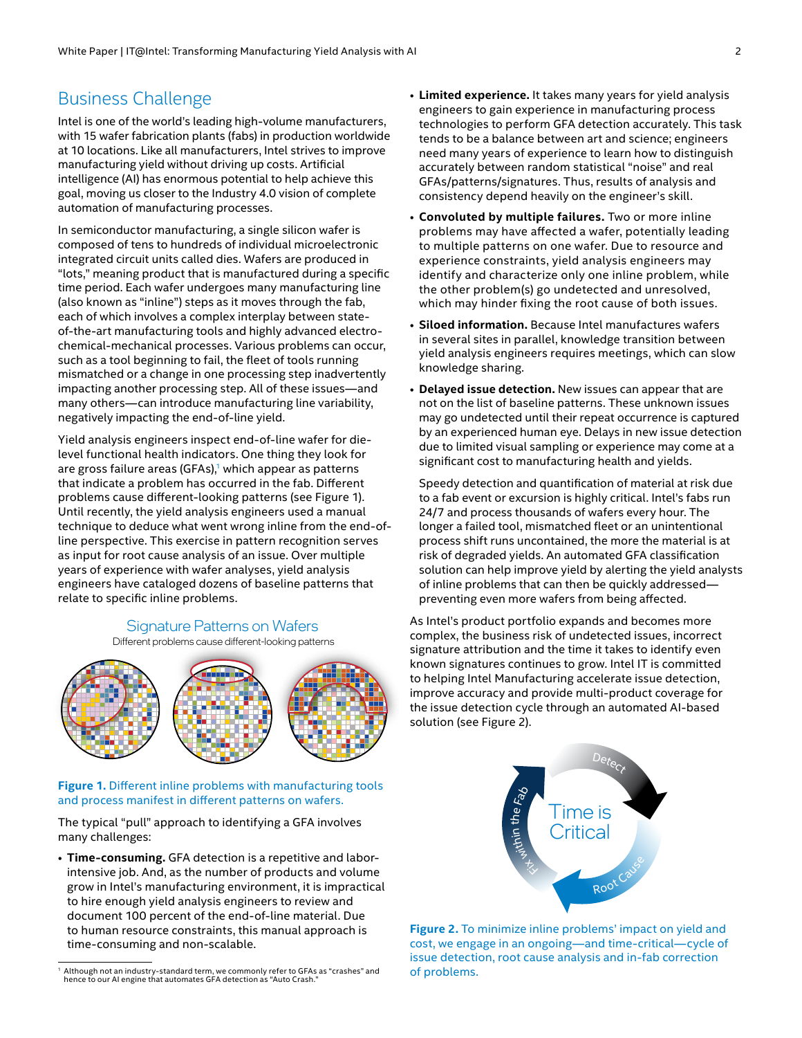# <span id="page-1-0"></span>Business Challenge

Intel is one of the world's leading high-volume manufacturers, with 15 wafer fabrication plants (fabs) in production worldwide at 10 locations. Like all manufacturers, Intel strives to improve manufacturing yield without driving up costs. Artificial intelligence (AI) has enormous potential to help achieve this goal, moving us closer to the Industry 4.0 vision of complete automation of manufacturing processes.

In semiconductor manufacturing, a single silicon wafer is composed of tens to hundreds of individual microelectronic integrated circuit units called dies. Wafers are produced in "lots," meaning product that is manufactured during a specific time period. Each wafer undergoes many manufacturing line (also known as "inline") steps as it moves through the fab, each of which involves a complex interplay between stateof-the-art manufacturing tools and highly advanced electrochemical-mechanical processes. Various problems can occur, such as a tool beginning to fail, the fleet of tools running mismatched or a change in one processing step inadvertently impacting another processing step. All of these issues—and many others—can introduce manufacturing line variability, negatively impacting the end-of-line yield.

Yield analysis engineers inspect end-of-line wafer for dielevel functional health indicators. One thing they look for are gross failure areas (GFAs), $1$  which appear as patterns that indicate a problem has occurred in the fab. Different problems cause different-looking patterns (see Figure 1). Until recently, the yield analysis engineers used a manual technique to deduce what went wrong inline from the end-ofline perspective. This exercise in pattern recognition serves as input for root cause analysis of an issue. Over multiple years of experience with wafer analyses, yield analysis engineers have cataloged dozens of baseline patterns that relate to specific inline problems.

#### Signature Patterns on Wafers Different problems cause different-looking patterns



#### **Figure 1.** Different inline problems with manufacturing tools and process manifest in different patterns on wafers.

The typical "pull" approach to identifying a GFA involves many challenges:

• **Time-consuming.** GFA detection is a repetitive and laborintensive job. And, as the number of products and volume grow in Intel's manufacturing environment, it is impractical to hire enough yield analysis engineers to review and document 100 percent of the end-of-line material. Due to human resource constraints, this manual approach is time-consuming and non-scalable.

- **Limited experience.** It takes many years for yield analysis engineers to gain experience in manufacturing process technologies to perform GFA detection accurately. This task tends to be a balance between art and science; engineers need many years of experience to learn how to distinguish accurately between random statistical "noise" and real GFAs/patterns/signatures. Thus, results of analysis and consistency depend heavily on the engineer's skill.
- **Convoluted by multiple failures.** Two or more inline problems may have affected a wafer, potentially leading to multiple patterns on one wafer. Due to resource and experience constraints, yield analysis engineers may identify and characterize only one inline problem, while the other problem(s) go undetected and unresolved, which may hinder fixing the root cause of both issues.
- **Siloed information.** Because Intel manufactures wafers in several sites in parallel, knowledge transition between yield analysis engineers requires meetings, which can slow knowledge sharing.
- **Delayed issue detection.** New issues can appear that are not on the list of baseline patterns. These unknown issues may go undetected until their repeat occurrence is captured by an experienced human eye. Delays in new issue detection due to limited visual sampling or experience may come at a significant cost to manufacturing health and yields.

Speedy detection and quantification of material at risk due to a fab event or excursion is highly critical. Intel's fabs run 24/7 and process thousands of wafers every hour. The longer a failed tool, mismatched fleet or an unintentional process shift runs uncontained, the more the material is at risk of degraded yields. An automated GFA classification solution can help improve yield by alerting the yield analysts of inline problems that can then be quickly addressed preventing even more wafers from being affected.

As Intel's product portfolio expands and becomes more complex, the business risk of undetected issues, incorrect signature attribution and the time it takes to identify even known signatures continues to grow. Intel IT is committed to helping Intel Manufacturing accelerate issue detection, improve accuracy and provide multi-product coverage for the issue detection cycle through an automated AI-based solution (see Figure 2).



**Figure 2.** To minimize inline problems' impact on yield and cost, we engage in an ongoing—and time-critical—cycle of issue detection, root cause analysis and in-fab correction of problems.

<sup>1</sup> Although not an industry-standard term, we commonly refer to GFAs as "crashes" and hence to our AI engine that automates GFA detection as "Auto Crash."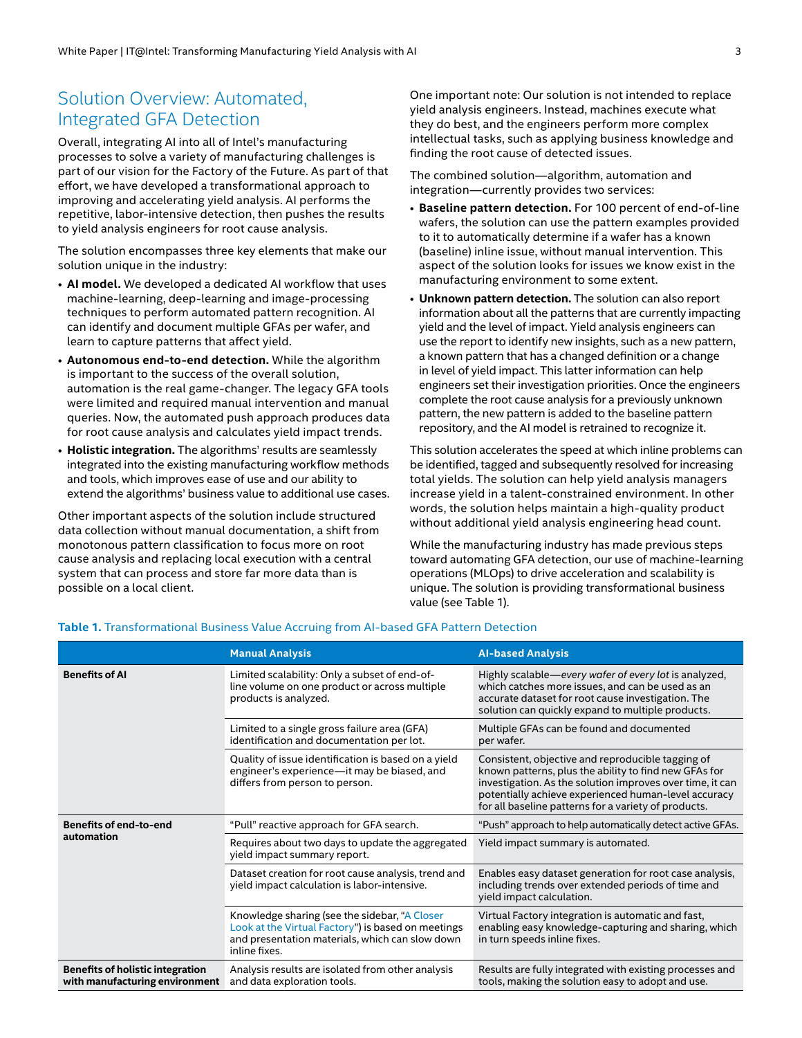# <span id="page-2-0"></span>Solution Overview: Automated, Integrated GFA Detection

Overall, integrating AI into all of Intel's manufacturing processes to solve a variety of manufacturing challenges is part of our vision for the Factory of the Future. As part of that effort, we have developed a transformational approach to improving and accelerating yield analysis. AI performs the repetitive, labor-intensive detection, then pushes the results to yield analysis engineers for root cause analysis.

The solution encompasses three key elements that make our solution unique in the industry:

- **AI model.** We developed a dedicated AI workflow that uses machine-learning, deep-learning and image-processing techniques to perform automated pattern recognition. AI can identify and document multiple GFAs per wafer, and learn to capture patterns that affect yield.
- **Autonomous end-to-end detection.** While the algorithm is important to the success of the overall solution, automation is the real game-changer. The legacy GFA tools were limited and required manual intervention and manual queries. Now, the automated push approach produces data for root cause analysis and calculates yield impact trends.
- **Holistic integration.** The algorithms' results are seamlessly integrated into the existing manufacturing workflow methods and tools, which improves ease of use and our ability to extend the algorithms' business value to additional use cases.

Other important aspects of the solution include structured data collection without manual documentation, a shift from monotonous pattern classification to focus more on root cause analysis and replacing local execution with a central system that can process and store far more data than is possible on a local client.

One important note: Our solution is not intended to replace yield analysis engineers. Instead, machines execute what they do best, and the engineers perform more complex intellectual tasks, such as applying business knowledge and finding the root cause of detected issues.

The combined solution—algorithm, automation and integration—currently provides two services:

- **Baseline pattern detection.** For 100 percent of end-of-line wafers, the solution can use the pattern examples provided to it to automatically determine if a wafer has a known (baseline) inline issue, without manual intervention. This aspect of the solution looks for issues we know exist in the manufacturing environment to some extent.
- **Unknown pattern detection.** The solution can also report information about all the patterns that are currently impacting yield and the level of impact. Yield analysis engineers can use the report to identify new insights, such as a new pattern, a known pattern that has a changed definition or a change in level of yield impact. This latter information can help engineers set their investigation priorities. Once the engineers complete the root cause analysis for a previously unknown pattern, the new pattern is added to the baseline pattern repository, and the AI model is retrained to recognize it.

This solution accelerates the speed at which inline problems can be identified, tagged and subsequently resolved for increasing total yields. The solution can help yield analysis managers increase yield in a talent-constrained environment. In other words, the solution helps maintain a high-quality product without additional yield analysis engineering head count.

While the manufacturing industry has made previous steps toward automating GFA detection, our use of machine-learning operations (MLOps) to drive acceleration and scalability is unique. The solution is providing transformational business value (see Table 1).

|                                                                           | <b>Manual Analysis</b>                                                                                                                                                  | <b>Al-based Analysis</b>                                                                                                                                                                                                                                                                |
|---------------------------------------------------------------------------|-------------------------------------------------------------------------------------------------------------------------------------------------------------------------|-----------------------------------------------------------------------------------------------------------------------------------------------------------------------------------------------------------------------------------------------------------------------------------------|
| <b>Benefits of Al</b>                                                     | Limited scalability: Only a subset of end-of-<br>line volume on one product or across multiple<br>products is analyzed.                                                 | Highly scalable—every wafer of every lot is analyzed,<br>which catches more issues, and can be used as an<br>accurate dataset for root cause investigation. The<br>solution can quickly expand to multiple products.                                                                    |
|                                                                           | Limited to a single gross failure area (GFA)<br>identification and documentation per lot.                                                                               | Multiple GFAs can be found and documented<br>per wafer.                                                                                                                                                                                                                                 |
|                                                                           | Quality of issue identification is based on a yield<br>engineer's experience-it may be biased, and<br>differs from person to person.                                    | Consistent, objective and reproducible tagging of<br>known patterns, plus the ability to find new GFAs for<br>investigation. As the solution improves over time, it can<br>potentially achieve experienced human-level accuracy<br>for all baseline patterns for a variety of products. |
| <b>Benefits of end-to-end</b><br>automation                               | "Pull" reactive approach for GFA search.                                                                                                                                | "Push" approach to help automatically detect active GFAs.                                                                                                                                                                                                                               |
|                                                                           | Requires about two days to update the aggregated<br>yield impact summary report.                                                                                        | Yield impact summary is automated.                                                                                                                                                                                                                                                      |
|                                                                           | Dataset creation for root cause analysis, trend and<br>yield impact calculation is labor-intensive.                                                                     | Enables easy dataset generation for root case analysis,<br>including trends over extended periods of time and<br>yield impact calculation.                                                                                                                                              |
|                                                                           | Knowledge sharing (see the sidebar, "A Closer<br>Look at the Virtual Factory") is based on meetings<br>and presentation materials, which can slow down<br>inline fixes. | Virtual Factory integration is automatic and fast,<br>enabling easy knowledge-capturing and sharing, which<br>in turn speeds inline fixes.                                                                                                                                              |
| <b>Benefits of holistic integration</b><br>with manufacturing environment | Analysis results are isolated from other analysis<br>and data exploration tools.                                                                                        | Results are fully integrated with existing processes and<br>tools, making the solution easy to adopt and use.                                                                                                                                                                           |

#### **Table 1.** Transformational Business Value Accruing from AI-based GFA Pattern Detection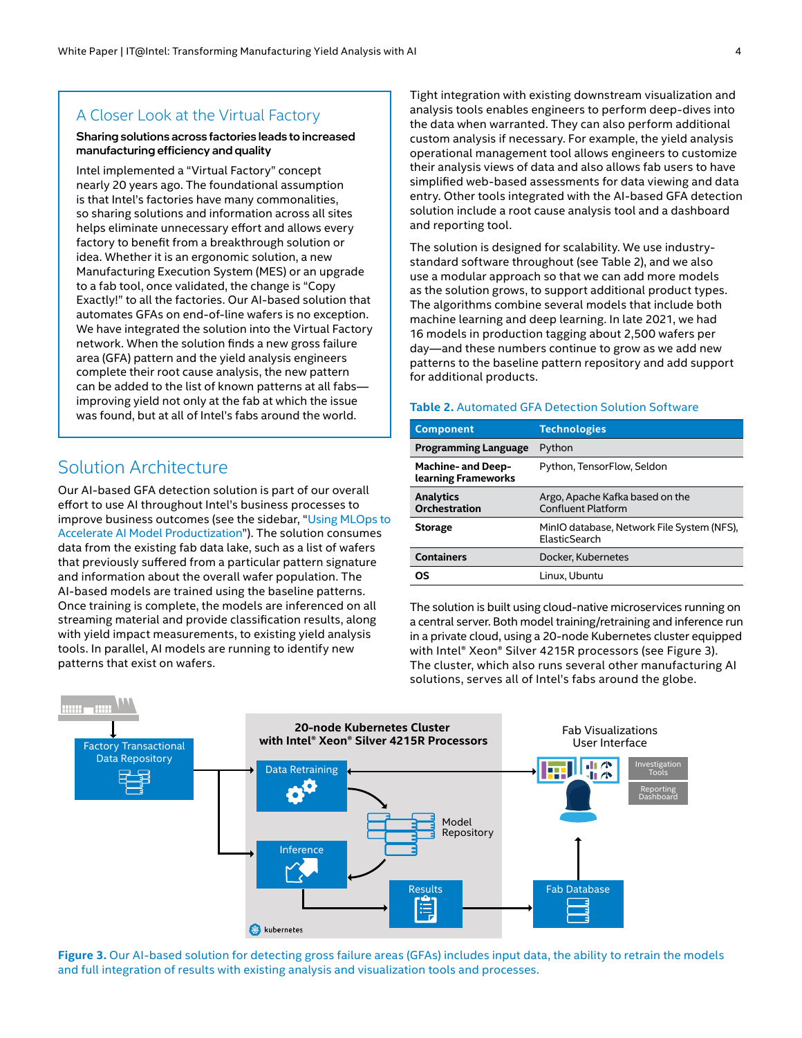## <span id="page-3-1"></span><span id="page-3-0"></span>A Closer Look at the Virtual Factory

#### Sharing solutions across factories leads to increased manufacturing efficiency and quality

Intel implemented a "Virtual Factory" concept nearly 20 years ago. The foundational assumption is that Intel's factories have many commonalities, so sharing solutions and information across all sites helps eliminate unnecessary effort and allows every factory to benefit from a breakthrough solution or idea. Whether it is an ergonomic solution, a new Manufacturing Execution System (MES) or an upgrade to a fab tool, once validated, the change is "Copy Exactly!" to all the factories. Our AI-based solution that automates GFAs on end-of-line wafers is no exception. We have integrated the solution into the Virtual Factory network. When the solution finds a new gross failure area (GFA) pattern and the yield analysis engineers complete their root cause analysis, the new pattern can be added to the list of known patterns at all fabs improving yield not only at the fab at which the issue was found, but at all of Intel's fabs around the world.

# Solution Architecture

Our AI-based GFA detection solution is part of our overall effort to use AI throughout Intel's business processes to improve business outcomes (see the sidebar, "[Using MLOps to](#page-4-1)  [Accelerate AI Model Productization](#page-4-1)"). The solution consumes data from the existing fab data lake, such as a list of wafers that previously suffered from a particular pattern signature and information about the overall wafer population. The AI-based models are trained using the baseline patterns. Once training is complete, the models are inferenced on all streaming material and provide classification results, along with yield impact measurements, to existing yield analysis tools. In parallel, AI models are running to identify new patterns that exist on wafers.

Tight integration with existing downstream visualization and analysis tools enables engineers to perform deep-dives into the data when warranted. They can also perform additional custom analysis if necessary. For example, the yield analysis operational management tool allows engineers to customize their analysis views of data and also allows fab users to have simplified web-based assessments for data viewing and data entry. Other tools integrated with the AI-based GFA detection solution include a root cause analysis tool and a dashboard and reporting tool.

The solution is designed for scalability. We use industrystandard software throughout (see Table 2), and we also use a modular approach so that we can add more models as the solution grows, to support additional product types. The algorithms combine several models that include both machine learning and deep learning. In late 2021, we had 16 models in production tagging about 2,500 wafers per day—and these numbers continue to grow as we add new patterns to the baseline pattern repository and add support for additional products.

#### **Table 2.** Automated GFA Detection Solution Software

| <b>Component</b>                                 | <b>Technologies</b>                                          |
|--------------------------------------------------|--------------------------------------------------------------|
| <b>Programming Language</b>                      | Python                                                       |
| <b>Machine- and Deep-</b><br>learning Frameworks | Python, TensorFlow, Seldon                                   |
| <b>Analytics</b><br><b>Orchestration</b>         | Argo, Apache Kafka based on the<br><b>Confluent Platform</b> |
| <b>Storage</b>                                   | MinIO database, Network File System (NFS),<br>ElasticSearch  |
| <b>Containers</b>                                | Docker, Kubernetes                                           |
| ΟS                                               | Linux, Ubuntu                                                |

The solution is built using cloud-native microservices running on a central server. Both model training/retraining and inference run in a private cloud, using a 20-node Kubernetes cluster equipped with Intel® Xeon® Silver 4215R processors (see Figure 3). The cluster, which also runs several other manufacturing AI solutions, serves all of Intel's fabs around the globe.



**Figure 3.** Our AI-based solution for detecting gross failure areas (GFAs) includes input data, the ability to retrain the models and full integration of results with existing analysis and visualization tools and processes.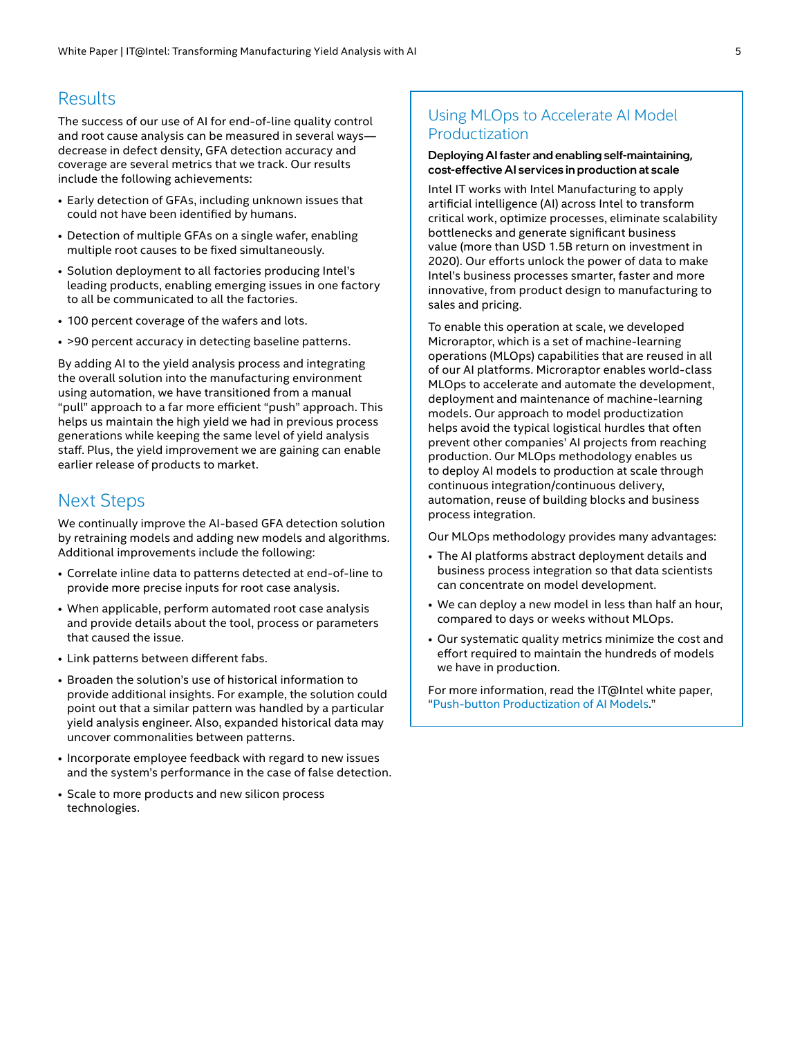## <span id="page-4-0"></span>Results

The success of our use of AI for end-of-line quality control and root cause analysis can be measured in several ways decrease in defect density, GFA detection accuracy and coverage are several metrics that we track. Our results include the following achievements:

- Early detection of GFAs, including unknown issues that could not have been identified by humans.
- Detection of multiple GFAs on a single wafer, enabling multiple root causes to be fixed simultaneously.
- Solution deployment to all factories producing Intel's leading products, enabling emerging issues in one factory to all be communicated to all the factories.
- 100 percent coverage of the wafers and lots.
- >90 percent accuracy in detecting baseline patterns.

By adding AI to the yield analysis process and integrating the overall solution into the manufacturing environment using automation, we have transitioned from a manual "pull" approach to a far more efficient "push" approach. This helps us maintain the high yield we had in previous process generations while keeping the same level of yield analysis staff. Plus, the yield improvement we are gaining can enable earlier release of products to market.

## Next Steps

We continually improve the AI-based GFA detection solution by retraining models and adding new models and algorithms. Additional improvements include the following:

- Correlate inline data to patterns detected at end-of-line to provide more precise inputs for root case analysis.
- When applicable, perform automated root case analysis and provide details about the tool, process or parameters that caused the issue.
- Link patterns between different fabs.
- Broaden the solution's use of historical information to provide additional insights. For example, the solution could point out that a similar pattern was handled by a particular yield analysis engineer. Also, expanded historical data may uncover commonalities between patterns.
- Incorporate employee feedback with regard to new issues and the system's performance in the case of false detection.
- Scale to more products and new silicon process technologies.

## <span id="page-4-1"></span>Using MLOps to Accelerate AI Model Productization

#### Deploying AI faster and enabling self-maintaining, cost-effective AI services in production at scale

Intel IT works with Intel Manufacturing to apply artificial intelligence (AI) across Intel to transform critical work, optimize processes, eliminate scalability bottlenecks and generate significant business value (more than USD 1.5B return on investment in 2020). Our efforts unlock the power of data to make Intel's business processes smarter, faster and more innovative, from product design to manufacturing to sales and pricing.

To enable this operation at scale, we developed Microraptor, which is a set of machine-learning operations (MLOps) capabilities that are reused in all of our AI platforms. Microraptor enables world-class MLOps to accelerate and automate the development, deployment and maintenance of machine-learning models. Our approach to model productization helps avoid the typical logistical hurdles that often prevent other companies' AI projects from reaching production. Our MLOps methodology enables us to deploy AI models to production at scale through continuous integration/continuous delivery, automation, reuse of building blocks and business process integration.

Our MLOps methodology provides many advantages:

- The AI platforms abstract deployment details and business process integration so that data scientists can concentrate on model development.
- We can deploy a new model in less than half an hour, compared to days or weeks without MLOps.
- Our systematic quality metrics minimize the cost and effort required to maintain the hundreds of models we have in production.

For more information, read the IT@Intel white paper, "[Push-button Productization of AI Models](https://www.intel.com/content/www/us/en/it-management/intel-it-best-practices/push-button-productization-of-ai-models-paper.html)."